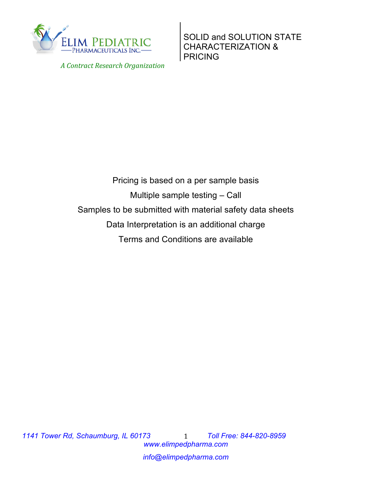

 *A Contract Research Organization*

SOLID and SOLUTION STATE CHARACTERIZATION & PRICING

Pricing is based on a per sample basis Multiple sample testing – Call Samples to be submitted with material safety data sheets Data Interpretation is an additional charge Terms and Conditions are available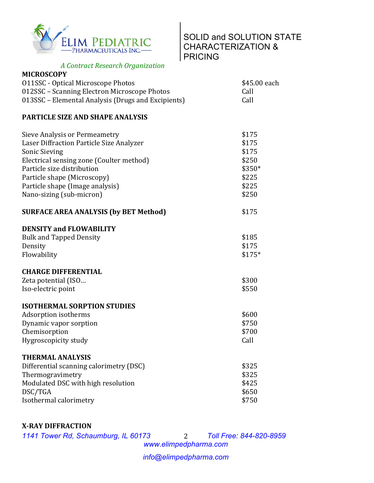

## SOLID and SOLUTION STATE CHARACTERIZATION & PRICING

 *A Contract Research Organization*

| <b>MICROSCOPY</b>                                  |              |
|----------------------------------------------------|--------------|
| 011SSC - Optical Microscope Photos                 | \$45.00 each |
| 012SSC – Scanning Electron Microscope Photos       | Call         |
| 013SSC – Elemental Analysis (Drugs and Excipients) | Call         |

## **PARTICLE SIZE AND SHAPE ANALYSIS**

| Sieve Analysis or Permeametry<br>Laser Diffraction Particle Size Analyzer<br>Sonic Sieving<br>Electrical sensing zone (Coulter method)<br>Particle size distribution<br>Particle shape (Microscopy)<br>Particle shape (Image analysis)<br>Nano-sizing (sub-micron) | \$175<br>\$175<br>\$175<br>\$250<br>\$350*<br>\$225<br>\$225<br>\$250 |
|--------------------------------------------------------------------------------------------------------------------------------------------------------------------------------------------------------------------------------------------------------------------|-----------------------------------------------------------------------|
| <b>SURFACE AREA ANALYSIS (by BET Method)</b>                                                                                                                                                                                                                       | \$175                                                                 |
| <b>DENSITY and FLOWABILITY</b><br><b>Bulk and Tapped Density</b><br>Density<br>Flowability                                                                                                                                                                         | \$185<br>\$175<br>\$175*                                              |
| <b>CHARGE DIFFERENTIAL</b><br>Zeta potential (ISO<br>Iso-electric point                                                                                                                                                                                            | \$300<br>\$550                                                        |
| <b>ISOTHERMAL SORPTION STUDIES</b><br>Adsorption isotherms<br>Dynamic vapor sorption<br>Chemisorption<br>Hygroscopicity study                                                                                                                                      | \$600<br>\$750<br>\$700<br>Call                                       |
| <b>THERMAL ANALYSIS</b><br>Differential scanning calorimetry (DSC)<br>Thermogravimetry<br>Modulated DSC with high resolution<br>DSC/TGA<br>Isothermal calorimetry                                                                                                  | \$325<br>\$325<br>\$425<br>\$650<br>\$750                             |

## **X-RAY DIFFRACTION**

*1141 Tower Rd, Schaumburg, IL 60173 Toll Free: 844-820-8959*

*www.elimpedpharma.com* 2

*info@elimpedpharma.com*